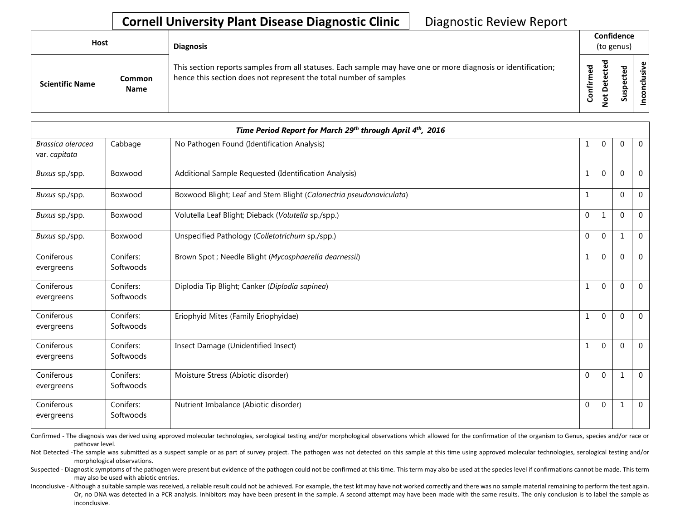## **Cornell University Plant Disease Diagnostic Clinic** | Diagnostic Review Report

| <b>Host</b>            |                              | <b>Diagnosis</b>                                                                                                                                                                   |           | Confidence<br>(to genus)         |   |                 |  |
|------------------------|------------------------------|------------------------------------------------------------------------------------------------------------------------------------------------------------------------------------|-----------|----------------------------------|---|-----------------|--|
| <b>Scientific Name</b> | <b>Common</b><br><b>Name</b> | This section reports samples from all statuses. Each sample may have one or more diagnosis or identification;<br>hence this section does not represent the total number of samples | Confirmed | ᇃ<br>ن<br>Φ<br>≏<br>سه<br>⇁<br>- | ശ | ω<br>usiv<br>᠊ᠣ |  |

|                                    |                        | Time Period Report for March 29th through April 4th, 2016           |              |              |              |                |
|------------------------------------|------------------------|---------------------------------------------------------------------|--------------|--------------|--------------|----------------|
| Brassica oleracea<br>var. capitata | Cabbage                | No Pathogen Found (Identification Analysis)                         |              | $\mathbf 0$  | $\Omega$     | $\overline{0}$ |
| Buxus sp./spp.                     | Boxwood                | Additional Sample Requested (Identification Analysis)               |              | $\mathbf 0$  | $\Omega$     | $\overline{0}$ |
| Buxus sp./spp.                     | Boxwood                | Boxwood Blight; Leaf and Stem Blight (Calonectria pseudonaviculata) | 1            |              | $\Omega$     | $\overline{0}$ |
| Buxus sp./spp.                     | Boxwood                | Volutella Leaf Blight; Dieback (Volutella sp./spp.)                 | $\mathbf 0$  | $\mathbf{1}$ | $\Omega$     | $\mathbf 0$    |
| Buxus sp./spp.                     | Boxwood                | Unspecified Pathology (Colletotrichum sp./spp.)                     | $\Omega$     | $\mathbf{0}$ | 1            | $\mathbf 0$    |
| Coniferous<br>evergreens           | Conifers:<br>Softwoods | Brown Spot ; Needle Blight (Mycosphaerella dearnessii)              | 1            | $\mathbf{0}$ | $\Omega$     | $\mathbf{0}$   |
| Coniferous<br>evergreens           | Conifers:<br>Softwoods | Diplodia Tip Blight; Canker (Diplodia sapinea)                      |              | $\mathbf 0$  | $\Omega$     | $\mathbf{0}$   |
| Coniferous<br>evergreens           | Conifers:<br>Softwoods | Eriophyid Mites (Family Eriophyidae)                                | $\mathbf{1}$ | $\mathbf{0}$ | $\Omega$     | $\overline{0}$ |
| Coniferous<br>evergreens           | Conifers:<br>Softwoods | Insect Damage (Unidentified Insect)                                 |              | $\mathbf{0}$ | $\mathbf{0}$ | $\overline{0}$ |
| Coniferous<br>evergreens           | Conifers:<br>Softwoods | Moisture Stress (Abiotic disorder)                                  | $\mathbf{0}$ | $\mathbf{0}$ | 1            | $\overline{0}$ |
| Coniferous<br>evergreens           | Conifers:<br>Softwoods | Nutrient Imbalance (Abiotic disorder)                               | $\mathbf{0}$ | $\mathbf{0}$ | 1            | $\overline{0}$ |

Confirmed - The diagnosis was derived using approved molecular technologies, serological testing and/or morphological observations which allowed for the confirmation of the organism to Genus, species and/or race or pathovar level.

Not Detected -The sample was submitted as a suspect sample or as part of survey project. The pathogen was not detected on this sample at this time using approved molecular technologies, serological testing and/or morphological observations.

Suspected - Diagnostic symptoms of the pathogen were present but evidence of the pathogen could not be confirmed at this time. This term may also be used at the species level if confirmations cannot be made. This term may also be used with abiotic entries.

Inconclusive - Although a suitable sample was received, a reliable result could not be achieved. For example, the test kit may have not worked correctly and there was no sample material remaining to perform the test again. Or, no DNA was detected in a PCR analysis. Inhibitors may have been present in the sample. A second attempt may have been made with the same results. The only conclusion is to label the sample as inconclusive.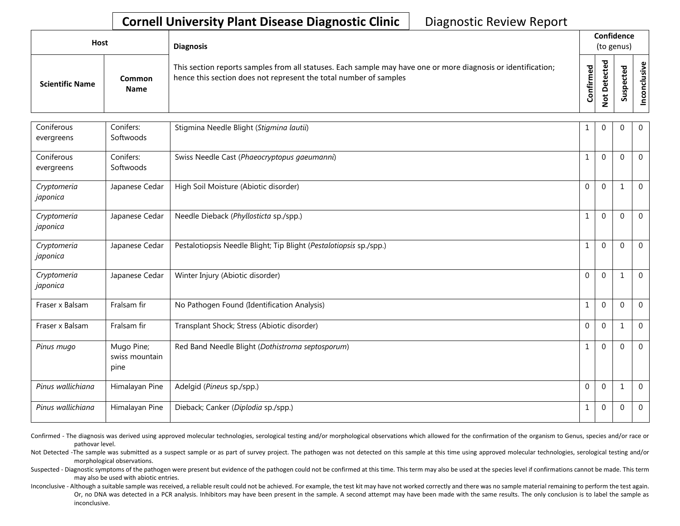## **Cornell University Plant Disease Diagnostic Clinic** | Diagnostic Review Report

| Host                   |                              | <b>Diagnosis</b>                                                                                                                                                                   |           |                                   | Confidence<br>(to genus) |              |
|------------------------|------------------------------|------------------------------------------------------------------------------------------------------------------------------------------------------------------------------------|-----------|-----------------------------------|--------------------------|--------------|
| <b>Scientific Name</b> | <b>Common</b><br><b>Name</b> | This section reports samples from all statuses. Each sample may have one or more diagnosis or identification;<br>hence this section does not represent the total number of samples | Confirmed | ᇴ<br>ن<br>Φ<br>≏<br>سد<br>$\circ$ | ᅙ<br>Q<br>Ū              | ≦.<br>פ<br>- |

| Coniferous<br>evergreens | Conifers:<br>Softwoods               | Stigmina Needle Blight (Stigmina lautii)                           | 1            | $\mathbf{0}$ | $\Omega$     | $\mathbf{0}$   |
|--------------------------|--------------------------------------|--------------------------------------------------------------------|--------------|--------------|--------------|----------------|
| Coniferous<br>evergreens | Conifers:<br>Softwoods               | Swiss Needle Cast (Phaeocryptopus gaeumanni)                       | 1            | $\Omega$     | $\Omega$     | $\overline{0}$ |
| Cryptomeria<br>japonica  | Japanese Cedar                       | High Soil Moisture (Abiotic disorder)                              | $\mathbf{0}$ | $\mathbf 0$  | 1            | $\overline{0}$ |
| Cryptomeria<br>japonica  | Japanese Cedar                       | Needle Dieback (Phyllosticta sp./spp.)                             | 1            | $\mathbf{0}$ | $\Omega$     | $\overline{0}$ |
| Cryptomeria<br>japonica  | Japanese Cedar                       | Pestalotiopsis Needle Blight; Tip Blight (Pestalotiopsis sp./spp.) | 1            | $\mathbf 0$  | $\Omega$     | $\mathbf 0$    |
| Cryptomeria<br>japonica  | Japanese Cedar                       | Winter Injury (Abiotic disorder)                                   | $\mathbf{0}$ | $\mathbf{0}$ |              | $\mathbf 0$    |
| Fraser x Balsam          | Fralsam fir                          | No Pathogen Found (Identification Analysis)                        | $\mathbf{1}$ | $\mathbf 0$  | $\Omega$     | $\mathbf{0}$   |
| Fraser x Balsam          | Fralsam fir                          | Transplant Shock; Stress (Abiotic disorder)                        | $\mathbf 0$  | $\mathbf 0$  | $\mathbf{1}$ | $\mathbf 0$    |
| Pinus mugo               | Mugo Pine;<br>swiss mountain<br>pine | Red Band Needle Blight (Dothistroma septosporum)                   | 1            | $\Omega$     | $\Omega$     | $\mathbf{0}$   |
| Pinus wallichiana        | Himalayan Pine                       | Adelgid (Pineus sp./spp.)                                          | $\mathbf{0}$ | $\mathbf 0$  | 1            | $\overline{0}$ |
| Pinus wallichiana        | Himalayan Pine                       | Dieback; Canker (Diplodia sp./spp.)                                | 1            | $\mathbf 0$  | $\Omega$     | $\mathbf{0}$   |

Confirmed - The diagnosis was derived using approved molecular technologies, serological testing and/or morphological observations which allowed for the confirmation of the organism to Genus, species and/or race or pathovar level.

Not Detected -The sample was submitted as a suspect sample or as part of survey project. The pathogen was not detected on this sample at this time using approved molecular technologies, serological testing and/or morphological observations.

Suspected - Diagnostic symptoms of the pathogen were present but evidence of the pathogen could not be confirmed at this time. This term may also be used at the species level if confirmations cannot be made. This term may also be used with abiotic entries.

Inconclusive - Although a suitable sample was received, a reliable result could not be achieved. For example, the test kit may have not worked correctly and there was no sample material remaining to perform the test again. Or, no DNA was detected in a PCR analysis. Inhibitors may have been present in the sample. A second attempt may have been made with the same results. The only conclusion is to label the sample as inconclusive.